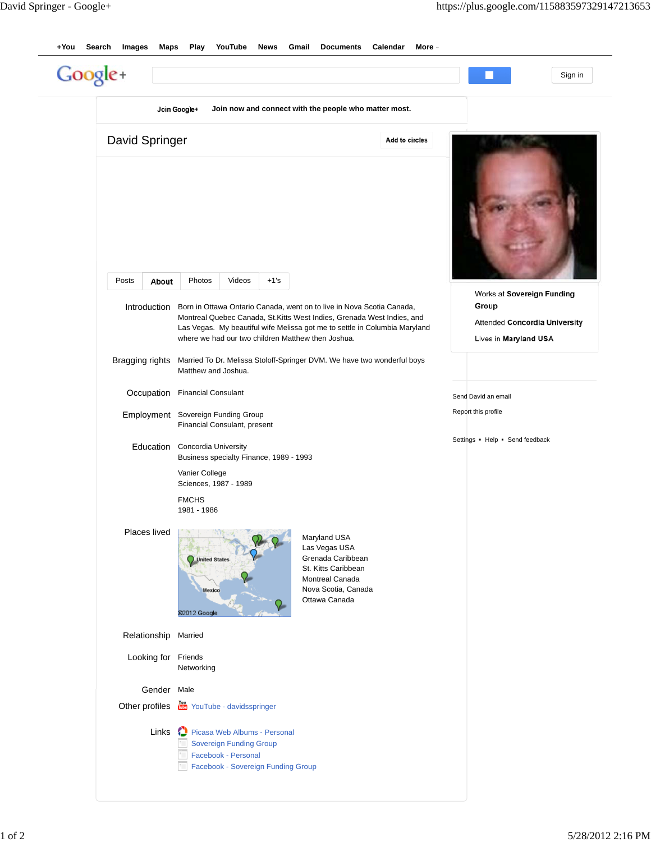|                 | Join Google+                                                                                                                | Join now and connect with the people who matter most.                                                                                                                                                                          |                                                                                               |
|-----------------|-----------------------------------------------------------------------------------------------------------------------------|--------------------------------------------------------------------------------------------------------------------------------------------------------------------------------------------------------------------------------|-----------------------------------------------------------------------------------------------|
| David Springer  |                                                                                                                             | Add to circles                                                                                                                                                                                                                 |                                                                                               |
| Posts<br>About  | Photos<br>Videos<br>$+1's$                                                                                                  |                                                                                                                                                                                                                                |                                                                                               |
| Introduction    | where we had our two children Matthew then Joshua.                                                                          | Born in Ottawa Ontario Canada, went on to live in Nova Scotia Canada,<br>Montreal Quebec Canada, St. Kitts West Indies, Grenada West Indies, and<br>Las Vegas. My beautiful wife Melissa got me to settle in Columbia Maryland | Works at Sovereign Funding<br>Group<br>Attended Concordia University<br>Lives in Maryland USA |
| Bragging rights | Matthew and Joshua.                                                                                                         | Married To Dr. Melissa Stoloff-Springer DVM. We have two wonderful boys                                                                                                                                                        |                                                                                               |
| Occupation      | <b>Financial Consulant</b>                                                                                                  |                                                                                                                                                                                                                                | Send David an email                                                                           |
| Employment      | Sovereign Funding Group<br>Financial Consulant, present                                                                     |                                                                                                                                                                                                                                | Report this profile                                                                           |
| Education       | <b>Concordia University</b><br>Business specialty Finance, 1989 - 1993                                                      |                                                                                                                                                                                                                                | Settings Help Send feedback                                                                   |
|                 | Vanier College<br>Sciences, 1987 - 1989                                                                                     |                                                                                                                                                                                                                                |                                                                                               |
|                 | <b>FMCHS</b><br>1981 - 1986                                                                                                 |                                                                                                                                                                                                                                |                                                                                               |
| Places lived    | United States<br>Mexico<br>@2012 Google                                                                                     | Maryland USA<br>Las Vegas USA<br>Grenada Caribbean<br>St. Kitts Caribbean<br>Montreal Canada<br>Nova Scotia, Canada<br>Ottawa Canada                                                                                           |                                                                                               |
| Relationship    | Married                                                                                                                     |                                                                                                                                                                                                                                |                                                                                               |
| Looking for     | Friends<br>Networking                                                                                                       |                                                                                                                                                                                                                                |                                                                                               |
| Gender Male     |                                                                                                                             |                                                                                                                                                                                                                                |                                                                                               |
| Other profiles  | You YouTube - davidsspringer                                                                                                |                                                                                                                                                                                                                                |                                                                                               |
| Links           | Picasa Web Albums - Personal<br><b>Sovereign Funding Group</b><br>Facebook - Personal<br>Facebook - Sovereign Funding Group |                                                                                                                                                                                                                                |                                                                                               |